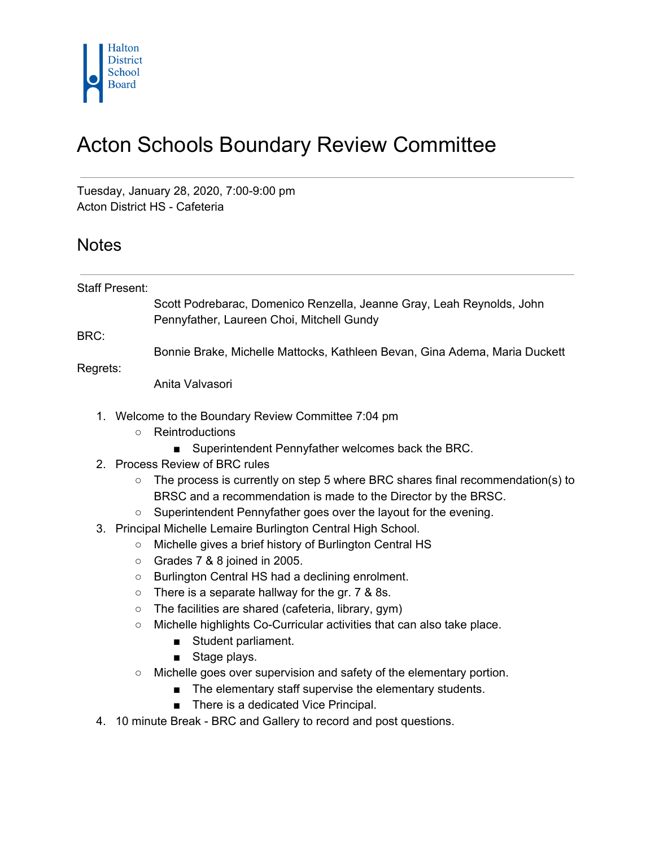

## Acton Schools Boundary Review Committee

Tuesday, January 28, 2020, 7:00-9:00 pm Acton District HS - Cafeteria

## **Notes**

Staff Present:

Scott Podrebarac, Domenico Renzella, Jeanne Gray, Leah Reynolds, John Pennyfather, Laureen Choi, Mitchell Gundy

BRC:

Bonnie Brake, Michelle Mattocks, Kathleen Bevan, Gina Adema, Maria Duckett

Regrets:

Anita Valvasori

- 1. Welcome to the Boundary Review Committee 7:04 pm
	- Reintroductions
		- Superintendent Pennyfather welcomes back the BRC.
- 2. Process Review of BRC rules
	- $\circ$  The process is currently on step 5 where BRC shares final recommendation(s) to BRSC and a recommendation is made to the Director by the BRSC.
	- Superintendent Pennyfather goes over the layout for the evening.
- 3. Principal Michelle Lemaire Burlington Central High School.
	- Michelle gives a brief history of Burlington Central HS
	- Grades 7 & 8 joined in 2005.
	- Burlington Central HS had a declining enrolment.
	- There is a separate hallway for the gr. 7 & 8s.
	- The facilities are shared (cafeteria, library, gym)
	- Michelle highlights Co-Curricular activities that can also take place.
		- Student parliament.
		- Stage plays.
	- Michelle goes over supervision and safety of the elementary portion.
		- The elementary staff supervise the elementary students.
		- There is a dedicated Vice Principal.
- 4. 10 minute Break BRC and Gallery to record and post questions.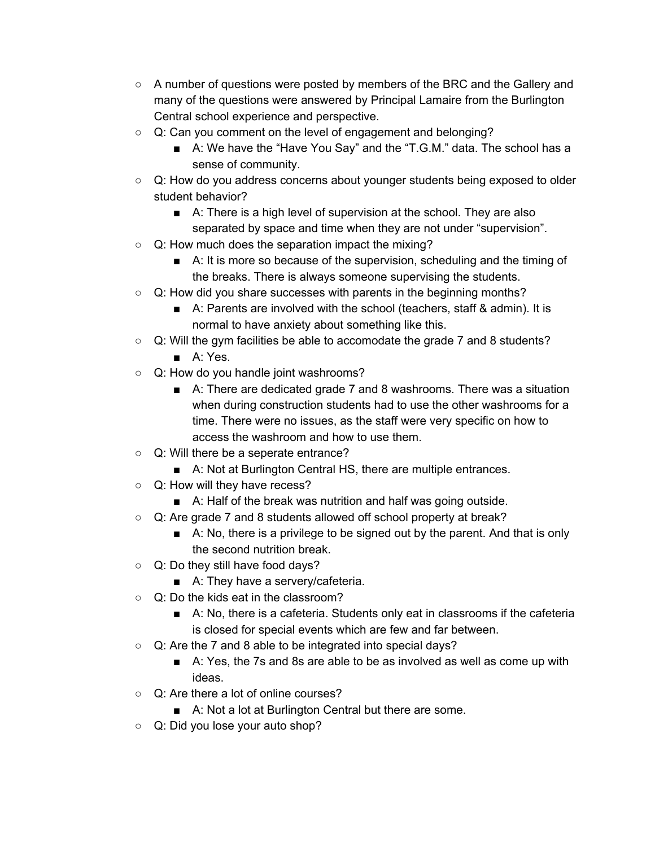- A number of questions were posted by members of the BRC and the Gallery and many of the questions were answered by Principal Lamaire from the Burlington Central school experience and perspective.
- Q: Can you comment on the level of engagement and belonging?
	- A: We have the "Have You Say" and the "T.G.M." data. The school has a sense of community.
- Q: How do you address concerns about younger students being exposed to older student behavior?
	- A: There is a high level of supervision at the school. They are also separated by space and time when they are not under "supervision".
- Q: How much does the separation impact the mixing?
	- A: It is more so because of the supervision, scheduling and the timing of the breaks. There is always someone supervising the students.
- Q: How did you share successes with parents in the beginning months?
	- A: Parents are involved with the school (teachers, staff & admin). It is normal to have anxiety about something like this.
- Q: Will the gym facilities be able to accomodate the grade 7 and 8 students?
	- A: Yes.
- Q: How do you handle joint washrooms?
	- A: There are dedicated grade 7 and 8 washrooms. There was a situation when during construction students had to use the other washrooms for a time. There were no issues, as the staff were very specific on how to access the washroom and how to use them.
- Q: Will there be a seperate entrance?
	- A: Not at Burlington Central HS, there are multiple entrances.
- Q: How will they have recess?
	- A: Half of the break was nutrition and half was going outside.
- Q: Are grade 7 and 8 students allowed off school property at break?
	- A: No, there is a privilege to be signed out by the parent. And that is only the second nutrition break.
- Q: Do they still have food days?
	- A: They have a servery/cafeteria.
- Q: Do the kids eat in the classroom?
	- A: No, there is a cafeteria. Students only eat in classrooms if the cafeteria is closed for special events which are few and far between.
- Q: Are the 7 and 8 able to be integrated into special days?
	- A: Yes, the 7s and 8s are able to be as involved as well as come up with ideas.
- Q: Are there a lot of online courses?
	- A: Not a lot at Burlington Central but there are some.
- Q: Did you lose your auto shop?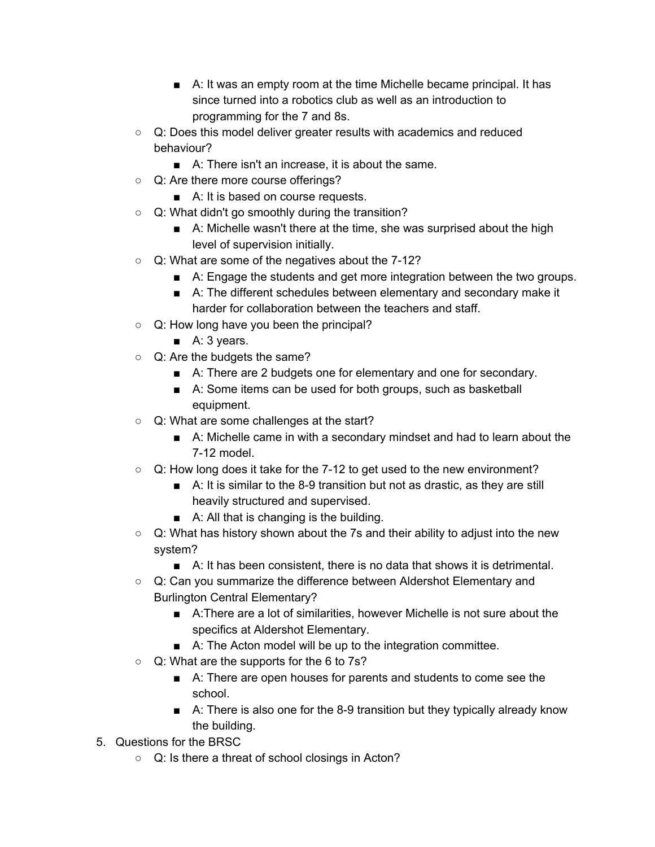- A: It was an empty room at the time Michelle became principal. It has since turned into a robotics club as well as an introduction to programming for the 7 and 8s.
- Q: Does this model deliver greater results with academics and reduced behaviour?
	- A: There isn't an increase, it is about the same.
- Q: Are there more course offerings?
	- A: It is based on course requests.
- Q: What didn't go smoothly during the transition?
	- A: Michelle wasn't there at the time, she was surprised about the high level of supervision initially.
- Q: What are some of the negatives about the 7-12?
	- A: Engage the students and get more integration between the two groups.
	- A: The different schedules between elementary and secondary make it harder for collaboration between the teachers and staff.
- Q: How long have you been the principal?
	- A: 3 years.
- Q: Are the budgets the same?
	- A: There are 2 budgets one for elementary and one for secondary.
	- A: Some items can be used for both groups, such as basketball equipment.
- Q: What are some challenges at the start?
	- A: Michelle came in with a secondary mindset and had to learn about the 7-12 model.
- $\circ$  Q: How long does it take for the 7-12 to get used to the new environment?
	- A: It is similar to the 8-9 transition but not as drastic, as they are still heavily structured and supervised.
	- A: All that is changing is the building.
- Q: What has history shown about the 7s and their ability to adjust into the new system?
	- A: It has been consistent, there is no data that shows it is detrimental.
- Q: Can you summarize the difference between Aldershot Elementary and Burlington Central Elementary?
	- A:There are a lot of similarities, however Michelle is not sure about the specifics at Aldershot Elementary.
	- A: The Acton model will be up to the integration committee.
- Q: What are the supports for the 6 to 7s?
	- A: There are open houses for parents and students to come see the school.
	- A: There is also one for the 8-9 transition but they typically already know the building.
- 5. Questions for the BRSC
	- Q: Is there a threat of school closings in Acton?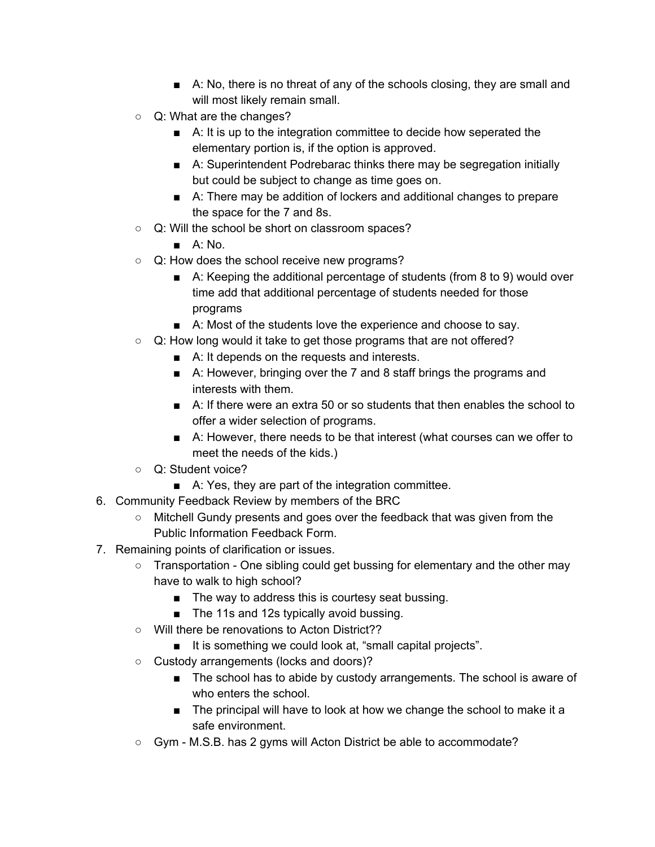- A: No, there is no threat of any of the schools closing, they are small and will most likely remain small.
- Q: What are the changes?
	- A: It is up to the integration committee to decide how seperated the elementary portion is, if the option is approved.
	- A: Superintendent Podrebarac thinks there may be segregation initially but could be subject to change as time goes on.
	- A: There may be addition of lockers and additional changes to prepare the space for the 7 and 8s.
- Q: Will the school be short on classroom spaces?
	- $\blacksquare$  A: No.
- Q: How does the school receive new programs?
	- A: Keeping the additional percentage of students (from 8 to 9) would over time add that additional percentage of students needed for those programs
	- A: Most of the students love the experience and choose to say.
- Q: How long would it take to get those programs that are not offered?
	- A: It depends on the requests and interests.
	- A: However, bringing over the 7 and 8 staff brings the programs and interests with them.
	- A: If there were an extra 50 or so students that then enables the school to offer a wider selection of programs.
	- A: However, there needs to be that interest (what courses can we offer to meet the needs of the kids.)
- Q: Student voice?
	- A: Yes, they are part of the integration committee.
- 6. Community Feedback Review by members of the BRC
	- Mitchell Gundy presents and goes over the feedback that was given from the Public Information Feedback Form.
- 7. Remaining points of clarification or issues.
	- Transportation One sibling could get bussing for elementary and the other may have to walk to high school?
		- The way to address this is courtesy seat bussing.
		- The 11s and 12s typically avoid bussing.
	- Will there be renovations to Acton District??
		- It is something we could look at, "small capital projects".
	- Custody arrangements (locks and doors)?
		- The school has to abide by custody arrangements. The school is aware of who enters the school.
		- The principal will have to look at how we change the school to make it a safe environment.
	- Gym M.S.B. has 2 gyms will Acton District be able to accommodate?